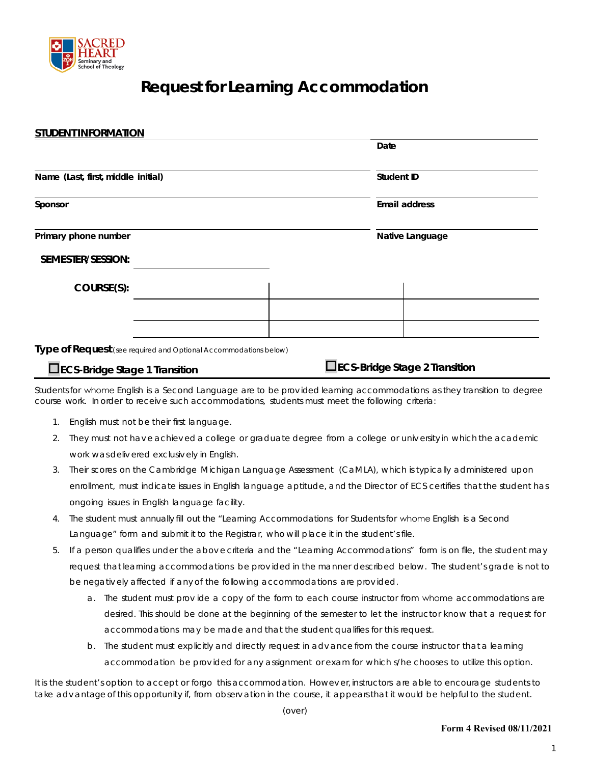

# **Request for Learning Accommodation**

| <b>STUDENT INFORMATION</b>                                       |  |                             |
|------------------------------------------------------------------|--|-----------------------------|
|                                                                  |  | Date                        |
| Name (Last, first, middle initial)<br>Sponsor                    |  | Student ID<br>Email address |
|                                                                  |  |                             |
| SEMESTER/SESSION:                                                |  |                             |
| COURSE(S):                                                       |  |                             |
|                                                                  |  |                             |
|                                                                  |  |                             |
| Type of Request (see required and Optional Accommodations below) |  |                             |

**ECS-Bridge Stage 1 Transition ECS-Bridge Stage 2 Transition**

Studentsfor whome English is a Second Language are to be prov ided learning accommodations as they transition to degree course work. In order to receive such accommodations, students must meet the following criteria:

- 1. English must not be their first language.
- 2. They must not hav e achiev ed a college or graduate degree from a college or univ ersity in which the academic work was deliv ered exclusiv ely in English.
- 3. Their scores on the Cambridge Michigan Language Assessment (CaMLA), which is typically administered upon enrollment, must indicate issues in English language aptitude, and the Director of ECS certifies that the student has ongoing issues in English language facility.
- 4. The student must annually fill out the "Learning Accommodations for Studentsfor whome English is a Second Language" form and submit it to the Registrar, who will place it in the student's file.
- 5. If a person qualifies under the abov e criteria and the "Learning Accommodations" form is on file, the student may request that learning accommodations be prov ided in the manner described below. The student's grade is not to be negativ ely affected if any of the following accommodations are prov ided.
	- a. The student must prov ide a copy of the form to each course instructor from whome accommodations are desired. This should be done at the beginning of the semester to let the instructor know that a request for accommodations may be made and that the student qualifies for this request.
	- b. The student must explicitly and directly request in adv ance from the course instructor that a learning accommodation be prov ided for any assignment or exam for which s/he chooses to utilize this option.

It is the student's option to accept or forgo this accommodation. Howev er, instructors are able to encourage students to take adv antage of this opportunity if, from observ ation in the course, it appears that it would be helpful to the student.